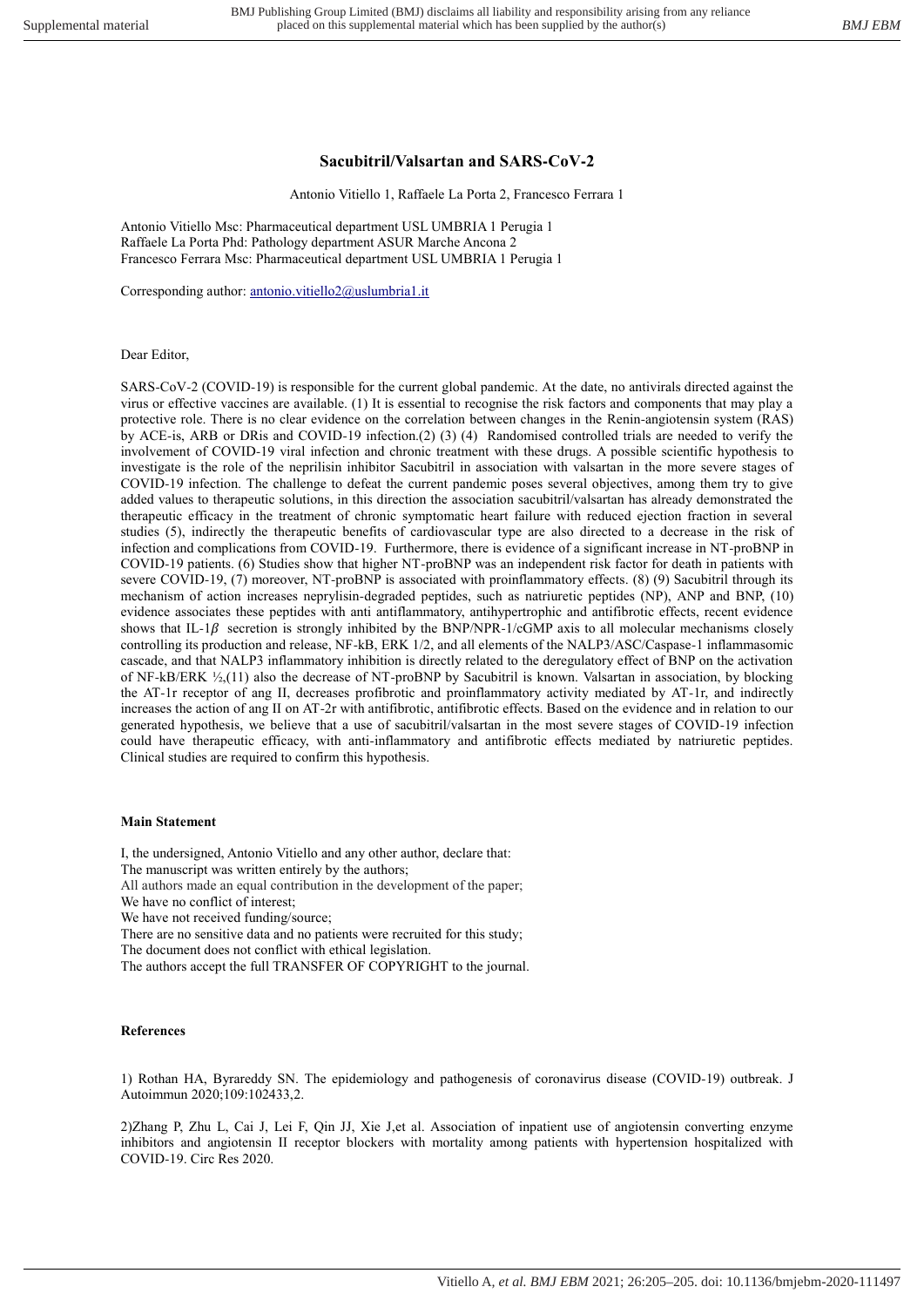## **Sacubitril/Valsartan and SARS-CoV-2**

Antonio Vitiello 1, Raffaele La Porta 2, Francesco Ferrara 1

Antonio Vitiello Msc: Pharmaceutical department USL UMBRIA 1 Perugia 1 Raffaele La Porta Phd: Pathology department ASUR Marche Ancona 2 Francesco Ferrara Msc: Pharmaceutical department USL UMBRIA 1 Perugia 1

Corresponding author: [antonio.vitiello2@uslumbria1.it](mailto:antonio.vitiello2@uslumbria1.it)

## Dear Editor,

SARS-CoV-2 (COVID-19) is responsible for the current global pandemic. At the date, no antivirals directed against the virus or effective vaccines are available. (1) It is essential to recognise the risk factors and components that may play a protective role. There is no clear evidence on the correlation between changes in the Renin-angiotensin system (RAS) by ACE-is, ARB or DRis and COVID-19 infection.(2) (3) (4) Randomised controlled trials are needed to verify the involvement of COVID-19 viral infection and chronic treatment with these drugs. A possible scientific hypothesis to investigate is the role of the neprilisin inhibitor Sacubitril in association with valsartan in the more severe stages of COVID-19 infection. The challenge to defeat the current pandemic poses several objectives, among them try to give added values to therapeutic solutions, in this direction the association sacubitril/valsartan has already demonstrated the therapeutic efficacy in the treatment of chronic symptomatic heart failure with reduced ejection fraction in several studies (5), indirectly the therapeutic benefits of cardiovascular type are also directed to a decrease in the risk of infection and complications from COVID-19. Furthermore, there is evidence of a significant increase in NT-proBNP in COVID-19 patients. (6) Studies show that higher NT-proBNP was an independent risk factor for death in patients with severe COVID-19, (7) moreover, NT-proBNP is associated with proinflammatory effects. (8) (9) Sacubitril through its mechanism of action increases neprylisin-degraded peptides, such as natriuretic peptides (NP), ANP and BNP, (10) evidence associates these peptides with anti antiflammatory, antihypertrophic and antifibrotic effects, recent evidence shows that IL-1 $\beta$  secretion is strongly inhibited by the BNP/NPR-1/cGMP axis to all molecular mechanisms closely controlling its production and release, NF-kB, ERK 1/2, and all elements of the NALP3/ASC/Caspase-1 inflammasomic cascade, and that NALP3 inflammatory inhibition is directly related to the deregulatory effect of BNP on the activation of NF-kB/ERK ½,(11) also the decrease of NT-proBNP by Sacubitril is known. Valsartan in association, by blocking the AT-1r receptor of ang II, decreases profibrotic and proinflammatory activity mediated by AT-1r, and indirectly increases the action of ang II on AT-2r with antifibrotic, antifibrotic effects. Based on the evidence and in relation to our generated hypothesis, we believe that a use of sacubitril/valsartan in the most severe stages of COVID-19 infection could have therapeutic efficacy, with anti-inflammatory and antifibrotic effects mediated by natriuretic peptides. Clinical studies are required to confirm this hypothesis.

## **Main Statement**

I, the undersigned, Antonio Vitiello and any other author, declare that:

The manuscript was written entirely by the authors;

All authors made an equal contribution in the development of the paper;

We have no conflict of interest;

We have not received funding/source;

There are no sensitive data and no patients were recruited for this study;

The document does not conflict with ethical legislation.

The authors accept the full TRANSFER OF COPYRIGHT to the journal.

## **References**

[1\)](https://pubmed.ncbi.nlm.nih.gov/?term=Jensen+J&cauthor_id=20229122) Rothan HA, Byrareddy SN. The epidemiology and pathogenesis of coronavirus disease (COVID-19) outbreak. J Autoimmun 2020;109:102433,2.

2)Zhang P, Zhu L, Cai J, Lei F, Qin JJ, Xie J,et al. Association of inpatient use of angiotensin converting enzyme inhibitors and angiotensin II receptor blockers with mortality among patients with hypertension hospitalized with COVID-19. Circ Res 2020.